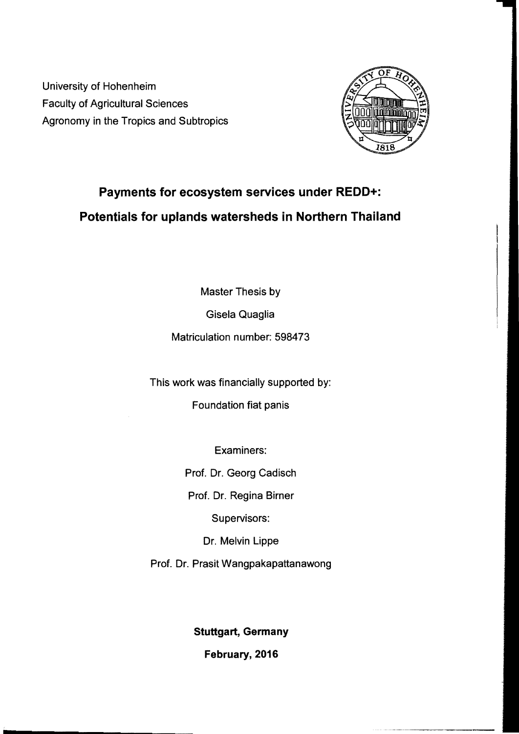University of Hohenheim Faculty of Agricultural Sciences Agronomy in the Tropics and Subtropics



## **Payments for ecosystem services under REDD+: Potentials for uplands watersheds in Northern Thailand**

Master Thesis by

Gisela Quaglia

Matriculation number: 598473

This work was financially supported by:

Foundation fiat panis

Examiners:

Prof. Dr. Georg Cadisch

Prof. Dr. Regina Birner

Supervisors:

Dr. Melvin Lippe

Prof. Dr. Prasit Wangpakapattanawong

**Stuttgart, Germany** 

February, 2016